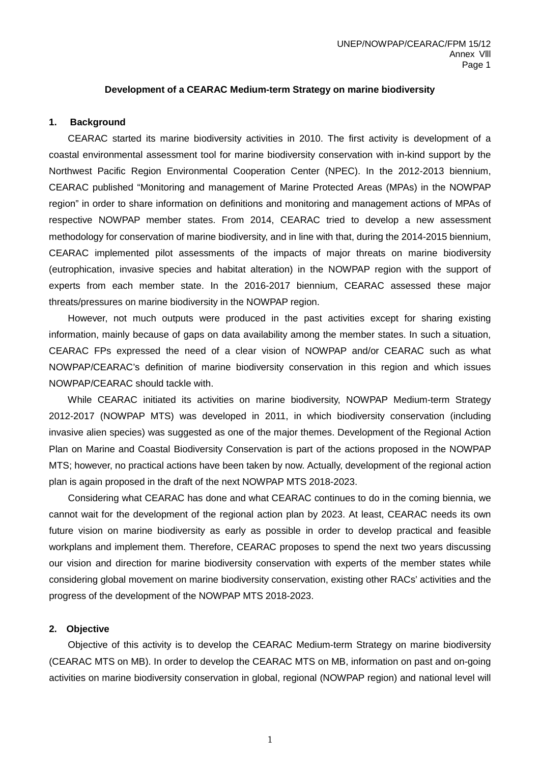### **Development of a CEARAC Medium-term Strategy on marine biodiversity**

#### **1. Background**

 CEARAC started its marine biodiversity activities in 2010. The first activity is development of a coastal environmental assessment tool for marine biodiversity conservation with in-kind support by the Northwest Pacific Region Environmental Cooperation Center (NPEC). In the 2012-2013 biennium, CEARAC published "Monitoring and management of Marine Protected Areas (MPAs) in the NOWPAP region" in order to share information on definitions and monitoring and management actions of MPAs of respective NOWPAP member states. From 2014, CEARAC tried to develop a new assessment methodology for conservation of marine biodiversity, and in line with that, during the 2014-2015 biennium, CEARAC implemented pilot assessments of the impacts of major threats on marine biodiversity (eutrophication, invasive species and habitat alteration) in the NOWPAP region with the support of experts from each member state. In the 2016-2017 biennium, CEARAC assessed these major threats/pressures on marine biodiversity in the NOWPAP region.

 However, not much outputs were produced in the past activities except for sharing existing information, mainly because of gaps on data availability among the member states. In such a situation, CEARAC FPs expressed the need of a clear vision of NOWPAP and/or CEARAC such as what NOWPAP/CEARAC's definition of marine biodiversity conservation in this region and which issues NOWPAP/CEARAC should tackle with.

 While CEARAC initiated its activities on marine biodiversity, NOWPAP Medium-term Strategy 2012-2017 (NOWPAP MTS) was developed in 2011, in which biodiversity conservation (including invasive alien species) was suggested as one of the major themes. Development of the Regional Action Plan on Marine and Coastal Biodiversity Conservation is part of the actions proposed in the NOWPAP MTS; however, no practical actions have been taken by now. Actually, development of the regional action plan is again proposed in the draft of the next NOWPAP MTS 2018-2023.

Considering what CEARAC has done and what CEARAC continues to do in the coming biennia, we cannot wait for the development of the regional action plan by 2023. At least, CEARAC needs its own future vision on marine biodiversity as early as possible in order to develop practical and feasible workplans and implement them. Therefore, CEARAC proposes to spend the next two years discussing our vision and direction for marine biodiversity conservation with experts of the member states while considering global movement on marine biodiversity conservation, existing other RACs' activities and the progress of the development of the NOWPAP MTS 2018-2023.

#### **2. Objective**

 Objective of this activity is to develop the CEARAC Medium-term Strategy on marine biodiversity (CEARAC MTS on MB). In order to develop the CEARAC MTS on MB, information on past and on-going activities on marine biodiversity conservation in global, regional (NOWPAP region) and national level will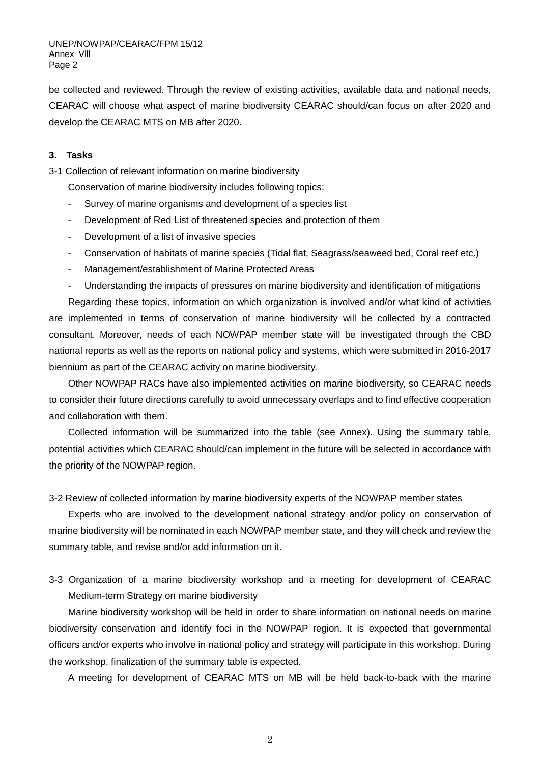be collected and reviewed. Through the review of existing activities, available data and national needs, CEARAC will choose what aspect of marine biodiversity CEARAC should/can focus on after 2020 and develop the CEARAC MTS on MB after 2020.

## **3. Tasks**

3-1 Collection of relevant information on marine biodiversity

Conservation of marine biodiversity includes following topics;

- Survey of marine organisms and development of a species list
- Development of Red List of threatened species and protection of them
- Development of a list of invasive species
- Conservation of habitats of marine species (Tidal flat, Seagrass/seaweed bed, Coral reef etc.)
- Management/establishment of Marine Protected Areas
- Understanding the impacts of pressures on marine biodiversity and identification of mitigations

Regarding these topics, information on which organization is involved and/or what kind of activities are implemented in terms of conservation of marine biodiversity will be collected by a contracted consultant. Moreover, needs of each NOWPAP member state will be investigated through the CBD national reports as well as the reports on national policy and systems, which were submitted in 2016-2017 biennium as part of the CEARAC activity on marine biodiversity.

Other NOWPAP RACs have also implemented activities on marine biodiversity, so CEARAC needs to consider their future directions carefully to avoid unnecessary overlaps and to find effective cooperation and collaboration with them.

Collected information will be summarized into the table (see Annex). Using the summary table, potential activities which CEARAC should/can implement in the future will be selected in accordance with the priority of the NOWPAP region.

3-2 Review of collected information by marine biodiversity experts of the NOWPAP member states

Experts who are involved to the development national strategy and/or policy on conservation of marine biodiversity will be nominated in each NOWPAP member state, and they will check and review the summary table, and revise and/or add information on it.

3-3 Organization of a marine biodiversity workshop and a meeting for development of CEARAC Medium-term Strategy on marine biodiversity

Marine biodiversity workshop will be held in order to share information on national needs on marine biodiversity conservation and identify foci in the NOWPAP region. It is expected that governmental officers and/or experts who involve in national policy and strategy will participate in this workshop. During the workshop, finalization of the summary table is expected.

A meeting for development of CEARAC MTS on MB will be held back-to-back with the marine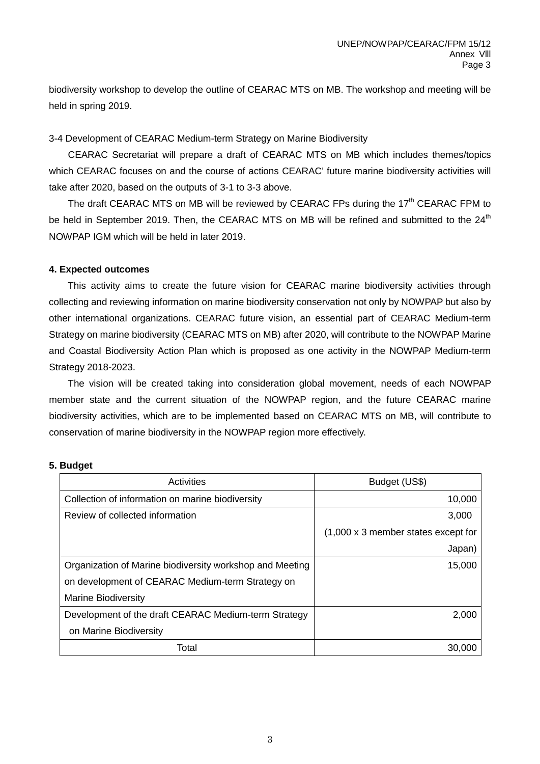biodiversity workshop to develop the outline of CEARAC MTS on MB. The workshop and meeting will be held in spring 2019.

# 3-4 Development of CEARAC Medium-term Strategy on Marine Biodiversity

CEARAC Secretariat will prepare a draft of CEARAC MTS on MB which includes themes/topics which CEARAC focuses on and the course of actions CEARAC' future marine biodiversity activities will take after 2020, based on the outputs of 3-1 to 3-3 above.

The draft CEARAC MTS on MB will be reviewed by CEARAC FPs during the 17<sup>th</sup> CEARAC FPM to be held in September 2019. Then, the CEARAC MTS on MB will be refined and submitted to the 24<sup>th</sup> NOWPAP IGM which will be held in later 2019.

## **4. Expected outcomes**

 This activity aims to create the future vision for CEARAC marine biodiversity activities through collecting and reviewing information on marine biodiversity conservation not only by NOWPAP but also by other international organizations. CEARAC future vision, an essential part of CEARAC Medium-term Strategy on marine biodiversity (CEARAC MTS on MB) after 2020, will contribute to the NOWPAP Marine and Coastal Biodiversity Action Plan which is proposed as one activity in the NOWPAP Medium-term Strategy 2018-2023.

 The vision will be created taking into consideration global movement, needs of each NOWPAP member state and the current situation of the NOWPAP region, and the future CEARAC marine biodiversity activities, which are to be implemented based on CEARAC MTS on MB, will contribute to conservation of marine biodiversity in the NOWPAP region more effectively.

## **5. Budget**

| Activities                                               | Budget (US\$)                               |
|----------------------------------------------------------|---------------------------------------------|
| Collection of information on marine biodiversity         | 10,000                                      |
| Review of collected information                          | 3,000                                       |
|                                                          | $(1,000 \times 3)$ member states except for |
|                                                          | Japan)                                      |
| Organization of Marine biodiversity workshop and Meeting | 15,000                                      |
| on development of CEARAC Medium-term Strategy on         |                                             |
| <b>Marine Biodiversity</b>                               |                                             |
| Development of the draft CEARAC Medium-term Strategy     | 2,000                                       |
| on Marine Biodiversity                                   |                                             |
| Total                                                    | 30,000                                      |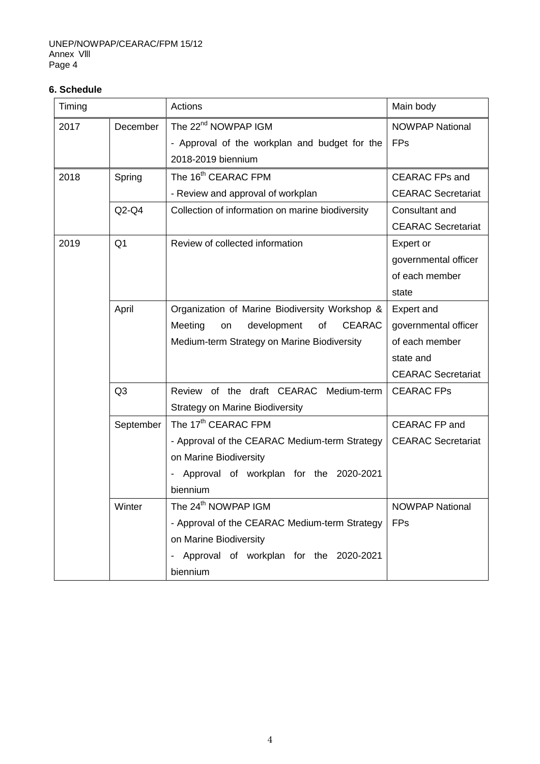# **6. Schedule**

| Timing |                | Actions                                             | Main body                 |  |
|--------|----------------|-----------------------------------------------------|---------------------------|--|
| 2017   | December       | The 22 <sup>nd</sup> NOWPAP IGM                     | <b>NOWPAP National</b>    |  |
|        |                | - Approval of the workplan and budget for the       | <b>FPs</b>                |  |
|        |                | 2018-2019 biennium                                  |                           |  |
| 2018   | Spring         | The 16 <sup>th</sup> CEARAC FPM                     | <b>CEARAC FPs and</b>     |  |
|        |                | - Review and approval of workplan                   | <b>CEARAC Secretariat</b> |  |
|        | $Q2-Q4$        | Collection of information on marine biodiversity    | Consultant and            |  |
|        |                |                                                     | <b>CEARAC Secretariat</b> |  |
| 2019   | Q <sub>1</sub> | Review of collected information                     | Expert or                 |  |
|        |                |                                                     | governmental officer      |  |
|        |                |                                                     | of each member            |  |
|        |                |                                                     | state                     |  |
|        | April          | Organization of Marine Biodiversity Workshop &      | Expert and                |  |
|        |                | development<br><b>CEARAC</b><br>Meeting<br>of<br>on | governmental officer      |  |
|        |                | Medium-term Strategy on Marine Biodiversity         | of each member            |  |
|        |                |                                                     | state and                 |  |
|        |                |                                                     | <b>CEARAC Secretariat</b> |  |
|        | Q <sub>3</sub> | Review of the draft CEARAC Medium-term              | <b>CEARAC FPs</b>         |  |
|        |                | <b>Strategy on Marine Biodiversity</b>              |                           |  |
|        | September      | The 17 <sup>th</sup> CEARAC FPM                     | <b>CEARAC FP and</b>      |  |
|        |                | - Approval of the CEARAC Medium-term Strategy       | <b>CEARAC</b> Secretariat |  |
|        |                | on Marine Biodiversity                              |                           |  |
|        |                | Approval of workplan for the 2020-2021              |                           |  |
|        |                | biennium                                            |                           |  |
|        | Winter         | The 24 <sup>th</sup> NOWPAP IGM                     | <b>NOWPAP National</b>    |  |
|        |                | - Approval of the CEARAC Medium-term Strategy       | <b>FPs</b>                |  |
|        |                | on Marine Biodiversity                              |                           |  |
|        |                | Approval of workplan for the 2020-2021              |                           |  |
|        |                | biennium                                            |                           |  |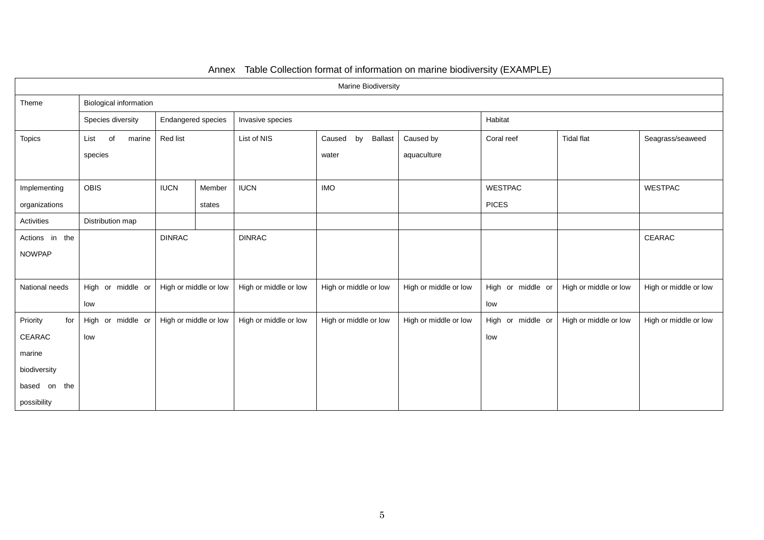| Marine Biodiversity |                               |                       |        |                       |                                |                       |                   |                       |                       |  |
|---------------------|-------------------------------|-----------------------|--------|-----------------------|--------------------------------|-----------------------|-------------------|-----------------------|-----------------------|--|
| Theme               | <b>Biological information</b> |                       |        |                       |                                |                       |                   |                       |                       |  |
|                     | Species diversity             | Endangered species    |        | Invasive species      |                                |                       | Habitat           |                       |                       |  |
| <b>Topics</b>       | of<br>marine<br>List          | Red list              |        | List of NIS           | <b>Ballast</b><br>by<br>Caused | Caused by             | Coral reef        | <b>Tidal flat</b>     | Seagrass/seaweed      |  |
|                     | species                       |                       |        |                       | water                          | aquaculture           |                   |                       |                       |  |
|                     |                               |                       |        |                       |                                |                       |                   |                       |                       |  |
| Implementing        | <b>OBIS</b>                   | <b>IUCN</b>           | Member | <b>IUCN</b>           | <b>IMO</b>                     |                       | <b>WESTPAC</b>    |                       | <b>WESTPAC</b>        |  |
| organizations       |                               |                       | states |                       |                                |                       | <b>PICES</b>      |                       |                       |  |
| Activities          | Distribution map              |                       |        |                       |                                |                       |                   |                       |                       |  |
| Actions in the      |                               | <b>DINRAC</b>         |        | <b>DINRAC</b>         |                                |                       |                   |                       | CEARAC                |  |
| <b>NOWPAP</b>       |                               |                       |        |                       |                                |                       |                   |                       |                       |  |
|                     |                               |                       |        |                       |                                |                       |                   |                       |                       |  |
| National needs      | High or middle or             | High or middle or low |        | High or middle or low | High or middle or low          | High or middle or low | High or middle or | High or middle or low | High or middle or low |  |
|                     | low                           |                       |        |                       |                                |                       | low               |                       |                       |  |
| Priority<br>for     | High or middle or             | High or middle or low |        | High or middle or low | High or middle or low          | High or middle or low | High or middle or | High or middle or low | High or middle or low |  |
| CEARAC              | low                           |                       |        |                       |                                |                       | low               |                       |                       |  |
| marine              |                               |                       |        |                       |                                |                       |                   |                       |                       |  |
| biodiversity        |                               |                       |        |                       |                                |                       |                   |                       |                       |  |
| based on<br>the     |                               |                       |        |                       |                                |                       |                   |                       |                       |  |
| possibility         |                               |                       |        |                       |                                |                       |                   |                       |                       |  |

# Annex Table Collection format of information on marine biodiversity (EXAMPLE)